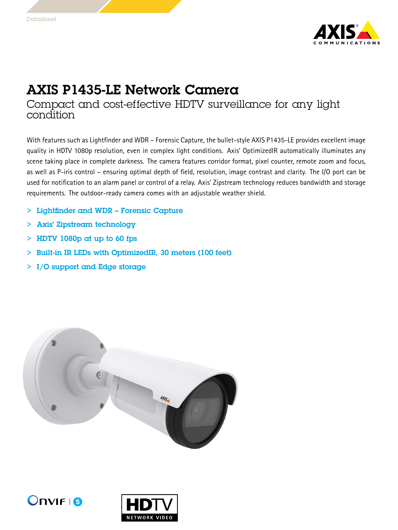

## AXIS P1435-LE Network Camera

Compact and cost-effective HDTV surveillance for any light condition

With features such as Lightfinder and WDR – Forensic Capture, the bullet-style AXIS P1435-LE provides excellent image quality in HDTV 1080p resolution, even in complex light conditions. Axis' OptimizedIR automatically illuminates any scene taking place in complete darkness. The camera features corridor format, pixel counter, remote zoom and focus, as well as P-iris control – ensuring optimal depth of field, resolution, image contrast and clarity. The I/O port can be used for notification to an alarm panel or control of <sup>a</sup> relay. Axis' Zipstream technology reduces bandwidth and storage requirements. The outdoor-ready camera comes with an adjustable weather shield.

- > Lightfinder and WDR Forensic Capture
- > Axis' Zipstream technology
- $>$  HDTV 1080p at up to 60 fps
- > Built-in IR LEDs with OptimizedIR, 30 meters (100 feet)
- > I/O support and Edge storage